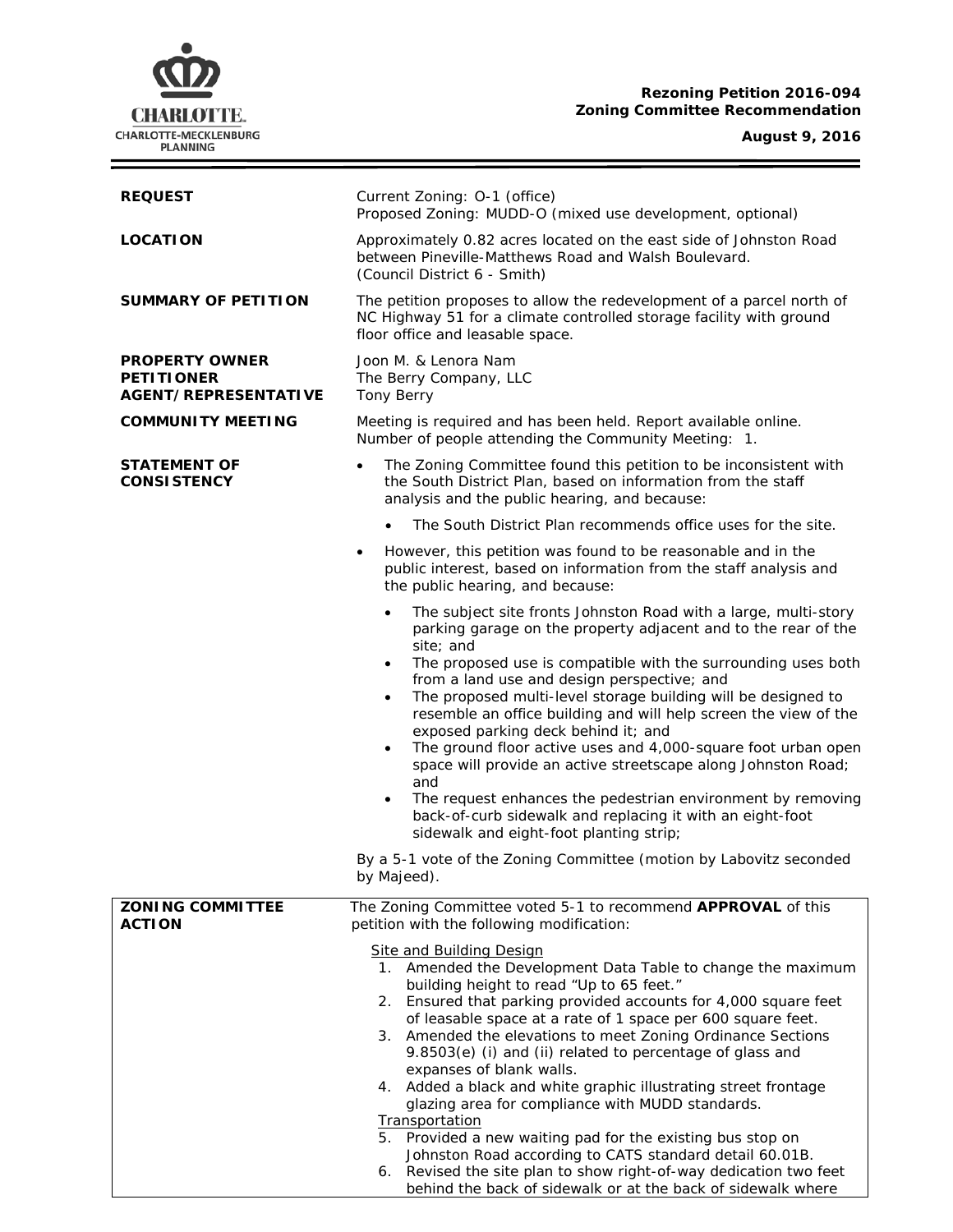## **Rezoning Petition 2016-094 Zoning Committee Recommendation**

**August 9, 2016**



behind the back of sidewalk or at the back of sidewalk where

CHARLOTTE. CHARLOTTE-MECKLENBURG **PI ANNING**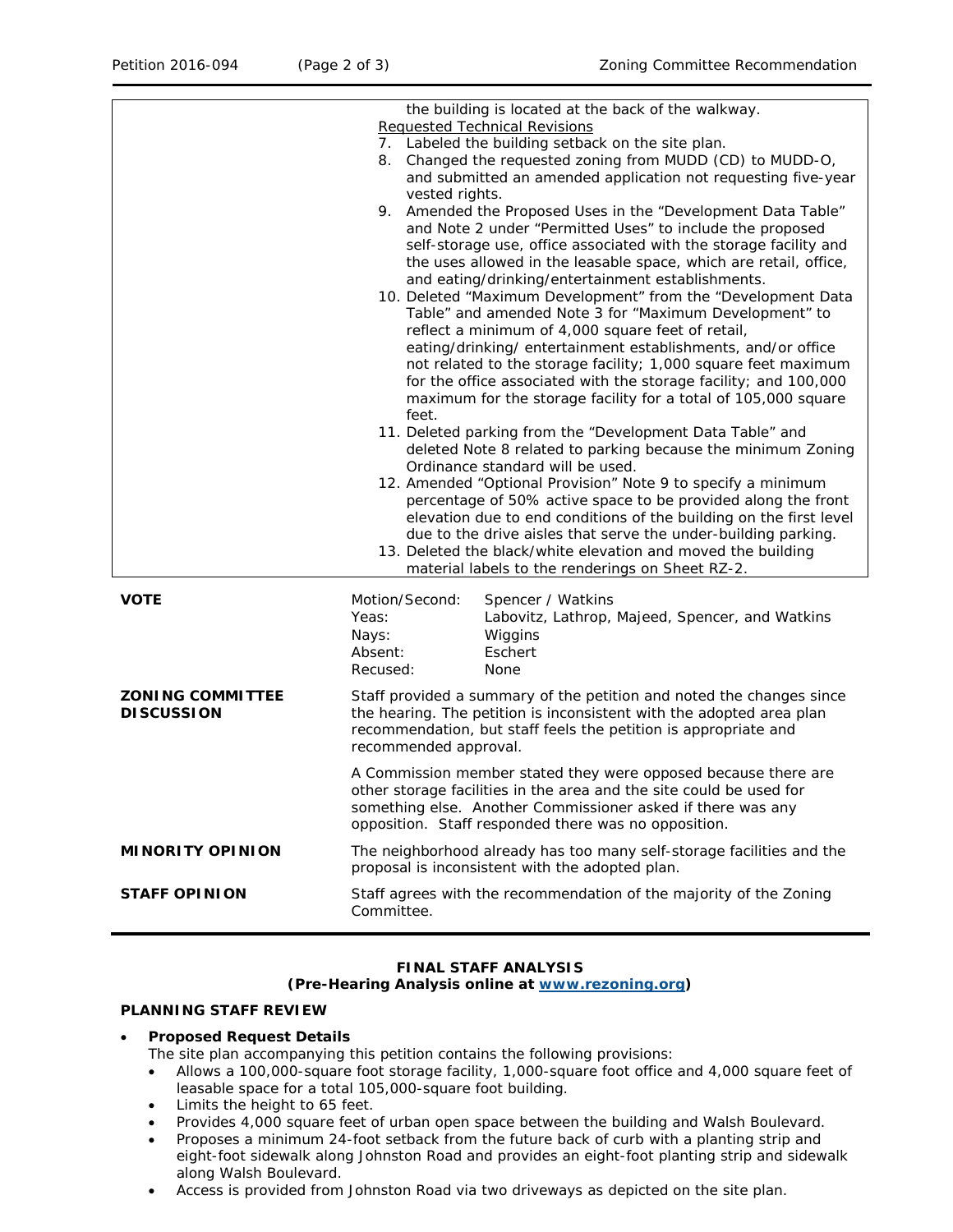| the building is located at the back of the walkway. |                                                                       |                                                                                                                                |
|-----------------------------------------------------|-----------------------------------------------------------------------|--------------------------------------------------------------------------------------------------------------------------------|
|                                                     | <b>Requested Technical Revisions</b>                                  |                                                                                                                                |
|                                                     | 7. Labeled the building setback on the site plan.                     |                                                                                                                                |
|                                                     | 8. Changed the requested zoning from MUDD (CD) to MUDD-O,             |                                                                                                                                |
|                                                     |                                                                       | and submitted an amended application not requesting five-year                                                                  |
|                                                     | vested rights.                                                        |                                                                                                                                |
|                                                     |                                                                       | 9. Amended the Proposed Uses in the "Development Data Table"                                                                   |
|                                                     |                                                                       | and Note 2 under "Permitted Uses" to include the proposed                                                                      |
|                                                     |                                                                       | self-storage use, office associated with the storage facility and                                                              |
|                                                     |                                                                       | the uses allowed in the leasable space, which are retail, office,                                                              |
|                                                     |                                                                       | and eating/drinking/entertainment establishments.                                                                              |
|                                                     |                                                                       | 10. Deleted "Maximum Development" from the "Development Data                                                                   |
|                                                     |                                                                       | Table" and amended Note 3 for "Maximum Development" to                                                                         |
|                                                     |                                                                       | reflect a minimum of 4,000 square feet of retail,                                                                              |
|                                                     |                                                                       | eating/drinking/ entertainment establishments, and/or office                                                                   |
|                                                     |                                                                       | not related to the storage facility; 1,000 square feet maximum                                                                 |
|                                                     | for the office associated with the storage facility; and 100,000      |                                                                                                                                |
|                                                     | maximum for the storage facility for a total of 105,000 square        |                                                                                                                                |
|                                                     | feet.                                                                 |                                                                                                                                |
|                                                     | 11. Deleted parking from the "Development Data Table" and             |                                                                                                                                |
|                                                     | deleted Note 8 related to parking because the minimum Zoning          |                                                                                                                                |
|                                                     | Ordinance standard will be used.                                      |                                                                                                                                |
|                                                     | 12. Amended "Optional Provision" Note 9 to specify a minimum          |                                                                                                                                |
|                                                     |                                                                       | percentage of 50% active space to be provided along the front                                                                  |
|                                                     |                                                                       | elevation due to end conditions of the building on the first level                                                             |
|                                                     |                                                                       | due to the drive aisles that serve the under-building parking.<br>13. Deleted the black/white elevation and moved the building |
|                                                     |                                                                       | material labels to the renderings on Sheet RZ-2.                                                                               |
|                                                     |                                                                       |                                                                                                                                |
| <b>VOTE</b>                                         | Motion/Second:                                                        | Spencer / Watkins                                                                                                              |
|                                                     | Yeas:                                                                 | Labovitz, Lathrop, Majeed, Spencer, and Watkins                                                                                |
|                                                     | Nays:                                                                 | Wiggins                                                                                                                        |
|                                                     | Absent:                                                               | Eschert                                                                                                                        |
|                                                     | Recused:                                                              | None                                                                                                                           |
| <b>ZONING COMMITTEE</b>                             | Staff provided a summary of the petition and noted the changes since  |                                                                                                                                |
| <b>DISCUSSION</b>                                   | the hearing. The petition is inconsistent with the adopted area plan  |                                                                                                                                |
|                                                     | recommendation, but staff feels the petition is appropriate and       |                                                                                                                                |
|                                                     | recommended approval.                                                 |                                                                                                                                |
|                                                     |                                                                       |                                                                                                                                |
|                                                     | A Commission member stated they were opposed because there are        |                                                                                                                                |
|                                                     | other storage facilities in the area and the site could be used for   |                                                                                                                                |
|                                                     | something else. Another Commissioner asked if there was any           |                                                                                                                                |
|                                                     | opposition. Staff responded there was no opposition.                  |                                                                                                                                |
| <b>MINORITY OPINION</b>                             | The neighborhood already has too many self-storage facilities and the |                                                                                                                                |
|                                                     |                                                                       | proposal is inconsistent with the adopted plan.                                                                                |
| <b>STAFF OPINION</b>                                | Staff agrees with the recommendation of the majority of the Zoning    |                                                                                                                                |
|                                                     | Committee.                                                            |                                                                                                                                |
|                                                     |                                                                       |                                                                                                                                |

# **FINAL STAFF ANALYSIS**

**(Pre-Hearing Analysis online at [www.rezoning.org\)](http://www.rezoning.org/)** 

#### **PLANNING STAFF REVIEW**

#### • **Proposed Request Details**

The site plan accompanying this petition contains the following provisions:

- Allows a 100,000-square foot storage facility, 1,000-square foot office and 4,000 square feet of leasable space for a total 105,000-square foot building.
- Limits the height to 65 feet.
- Provides 4,000 square feet of urban open space between the building and Walsh Boulevard.
- Proposes a minimum 24-foot setback from the future back of curb with a planting strip and eight-foot sidewalk along Johnston Road and provides an eight-foot planting strip and sidewalk along Walsh Boulevard.
- Access is provided from Johnston Road via two driveways as depicted on the site plan.